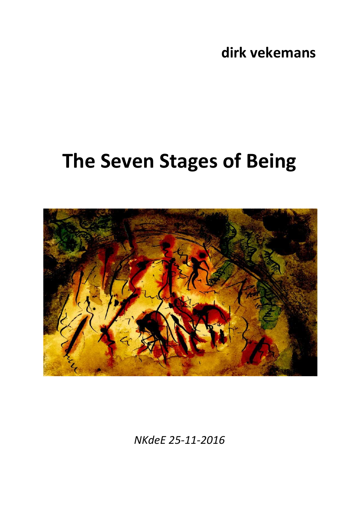**dirk vekemans**

## **The Seven Stages of Being**



*NKdeE 25-11-2016*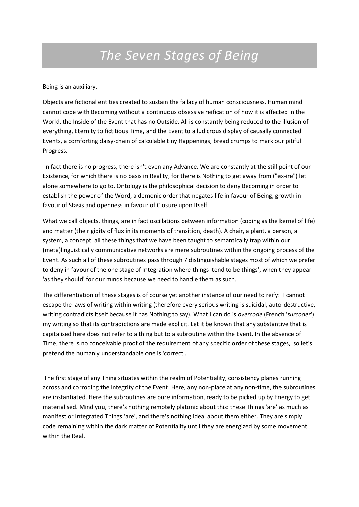## *The Seven Stages of Being*

Being is an auxiliary.

Objects are fictional entities created to sustain the fallacy of human consciousness. Human mind cannot cope with Becoming without a continuous obsessive reification of how it is affected in the World, the Inside of the Event that has no Outside. All is constantly being reduced to the illusion of everything, Eternity to fictitious Time, and the Event to a ludicrous display of causally connected Events, a comforting daisy-chain of calculable tiny Happenings, bread crumps to mark our pitiful Progress.

In fact there is no progress, there isn't even any Advance. We are constantly at the still point of our Existence, for which there is no basis in Reality, for there is Nothing to get away from ("ex-ire") let alone somewhere to go to. Ontology is the philosophical decision to deny Becoming in order to establish the power of the Word, a demonic order that negates life in favour of Being, growth in favour of Stasis and openness in favour of Closure upon Itself.

What we call objects, things, are in fact oscillations between information (coding as the kernel of life) and matter (the rigidity of flux in its moments of transition, death). A chair, a plant, a person, a system, a concept: all these things that we have been taught to semantically trap within our (meta)linguistically communicative networks are mere subroutines within the ongoing process of the Event. As such all of these subroutines pass through 7 distinguishable stages most of which we prefer to deny in favour of the one stage of Integration where things 'tend to be things', when they appear 'as they should' for our minds because we need to handle them as such.

The differentiation of these stages is of course yet another instance of our need to reify: I cannot escape the laws of writing within writing (therefore every serious writing is suicidal, auto-destructive, writing contradicts itself because it has Nothing to say). What I can do is *overcode* (French '*surcoder*') my writing so that its contradictions are made explicit. Let it be known that any substantive that is capitalised here does not refer to a thing but to a subroutine within the Event. In the absence of Time, there is no conceivable proof of the requirement of any specific order of these stages, so let's pretend the humanly understandable one is 'correct'.

The first stage of any Thing situates within the realm of Potentiality, consistency planes running across and corroding the Integrity of the Event. Here, any non-place at any non-time, the subroutines are instantiated. Here the subroutines are pure information, ready to be picked up by Energy to get materialised. Mind you, there's nothing remotely platonic about this: these Things 'are' as much as manifest or Integrated Things 'are', and there's nothing ideal about them either. They are simply code remaining within the dark matter of Potentiality until they are energized by some movement within the Real.